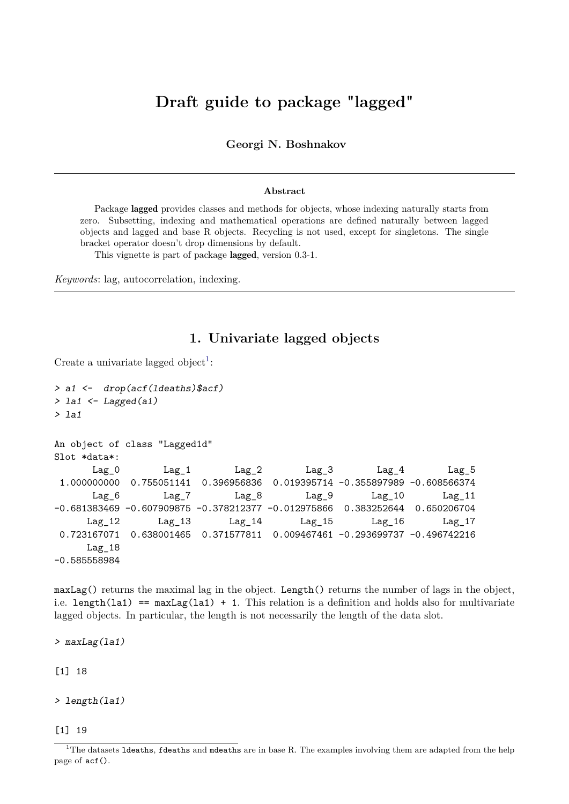# **Draft guide to package "lagged"**

**Georgi N. Boshnakov**

#### **Abstract**

Package **lagged** provides classes and methods for objects, whose indexing naturally starts from zero. Subsetting, indexing and mathematical operations are defined naturally between lagged objects and lagged and base R objects. Recycling is not used, except for singletons. The single bracket operator doesn't drop dimensions by default.

This vignette is part of package lagged, version 0.3-1.

*Keywords*: lag, autocorrelation, indexing.

### **1. Univariate lagged objects**

Create a univariate lagged object<sup>[1](#page-0-0)</sup>:

```
> a1 <- drop(acf(ldeaths)$acf)
> la1 \leftarrow Lagged(a1)
> 1a1An object of class "Lagged1d"
Slot *data*:
      Lag_0 Lag_1 Lag_2 Lag_3 Lag_4 Lag_5
1.000000000 0.755051141 0.396956836 0.019395714 -0.355897989 -0.608566374
      Lag_6 Lag_7 Lag_8 Lag_9 Lag_10 Lag_11
-0.681383469 -0.607909875 -0.378212377 -0.012975866 0.383252644 0.650206704
     Lag_12 Lag_13 Lag_14 Lag_15 Lag_16 Lag_17
0.723167071 0.638001465 0.371577811 0.009467461 -0.293699737 -0.496742216
     Lag_18
-0.585558984
```
maxLag() returns the maximal lag in the object. Length() returns the number of lags in the object, i.e. length(la1) ==  $maxLag(la1) + 1$ . This relation is a definition and holds also for multivariate lagged objects. In particular, the length is not necessarily the length of the data slot.

> maxLag(la1)

[1] 18

> length(la1)

[1] 19

<span id="page-0-0"></span><sup>&</sup>lt;sup>1</sup>The datasets **1deaths**, **fdeaths** and mdeaths are in base R. The examples involving them are adapted from the help page of acf().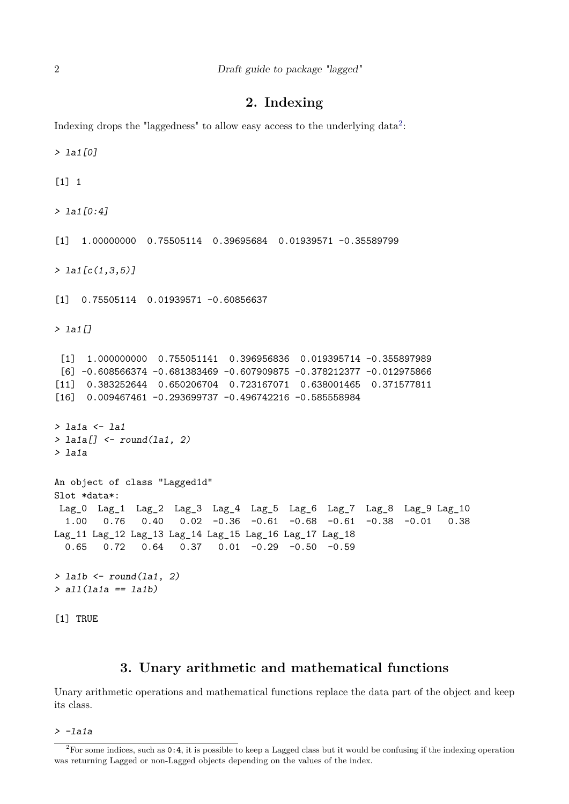## **2. Indexing**

Indexing drops the "laggedness" to allow easy access to the underlying data<sup>[2](#page-1-0)</sup>:

```
> la1[0]
[1] 1
> la1[0:4]
[1] 1.00000000 0.75505114 0.39695684 0.01939571 -0.35589799
> la1[c(1,3,5)]
[1] 0.75505114 0.01939571 -0.60856637
> la1[]
 [1] 1.000000000 0.755051141 0.396956836 0.019395714 -0.355897989
 [6] -0.608566374 -0.681383469 -0.607909875 -0.378212377 -0.012975866
[11] 0.383252644 0.650206704 0.723167071 0.638001465 0.371577811
[16] 0.009467461 -0.293699737 -0.496742216 -0.585558984
> la1a <- la1
> la1a[] \le round(la1, 2)
> la1a
An object of class "Lagged1d"
Slot *data*:
Lag 0 Lag 1 Lag 2 Lag 3 Lag 4 Lag 5 Lag 6 Lag 7 Lag 8 Lag 9 Lag 10
  1.00 0.76 0.40 0.02 -0.36 -0.61 -0.68 -0.61 -0.38 -0.01 0.38
Lag_11 Lag_12 Lag_13 Lag_14 Lag_15 Lag_16 Lag_17 Lag_18
  0.65 0.72 0.64 0.37 0.01 -0.29 -0.50 -0.59
> la1b \le round(la1, 2)
> all(la1a == la1b)
[1] TRUE
```
#### **3. Unary arithmetic and mathematical functions**

Unary arithmetic operations and mathematical functions replace the data part of the object and keep its class.

> -la1a

<span id="page-1-0"></span> $2^2$ For some indices, such as 0:4, it is possible to keep a Lagged class but it would be confusing if the indexing operation was returning Lagged or non-Lagged objects depending on the values of the index.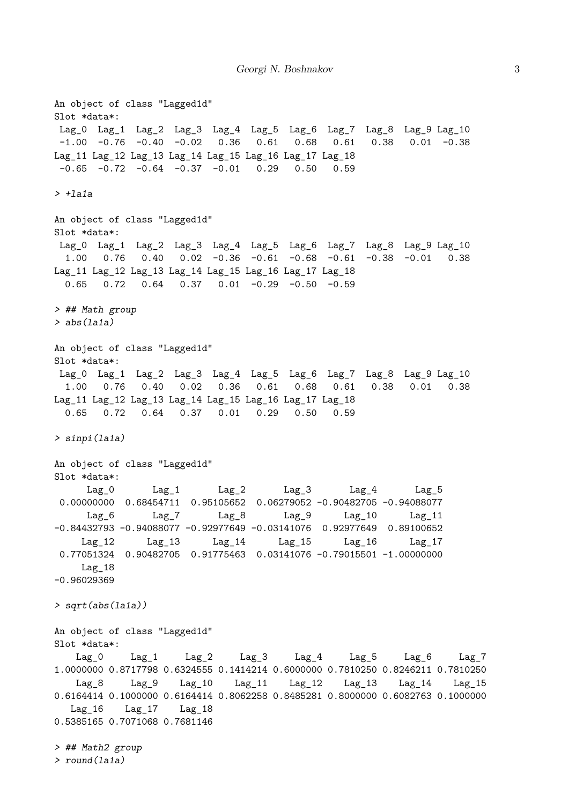An object of class "Lagged1d" Slot \*data\*: Lag\_0 Lag\_1 Lag\_2 Lag\_3 Lag\_4 Lag\_5 Lag\_6 Lag\_7 Lag\_8 Lag\_9 Lag\_10 -1.00 -0.76 -0.40 -0.02 0.36 0.61 0.68 0.61 0.38 0.01 -0.38 Lag\_11 Lag\_12 Lag\_13 Lag\_14 Lag\_15 Lag\_16 Lag\_17 Lag\_18  $-0.65$   $-0.72$   $-0.64$   $-0.37$   $-0.01$  0.29 0.50 0.59  $> +1a1a$ An object of class "Lagged1d" Slot \*data\*: Lag\_0 Lag\_1 Lag\_2 Lag\_3 Lag\_4 Lag\_5 Lag\_6 Lag\_7 Lag\_8 Lag\_9 Lag\_10 1.00 0.76 0.40 0.02 -0.36 -0.61 -0.68 -0.61 -0.38 -0.01 0.38 Lag\_11 Lag\_12 Lag\_13 Lag\_14 Lag\_15 Lag\_16 Lag\_17 Lag\_18 0.65 0.72 0.64 0.37 0.01 -0.29 -0.50 -0.59 > ## Math group  $>$  abs $(la1a)$ An object of class "Lagged1d" Slot \*data\*: Lag\_0 Lag\_1 Lag\_2 Lag\_3 Lag\_4 Lag\_5 Lag\_6 Lag\_7 Lag\_8 Lag\_9 Lag\_10 1.00 0.76 0.40 0.02 0.36 0.61 0.68 0.61 0.38 0.01 0.38 Lag\_11 Lag\_12 Lag\_13 Lag\_14 Lag\_15 Lag\_16 Lag\_17 Lag\_18 0.65 0.72 0.64 0.37 0.01 0.29 0.50 0.59 > sinpi(la1a) An object of class "Lagged1d" Slot \*data\*: Lag\_0 Lag\_1 Lag\_2 Lag\_3 Lag\_4 Lag\_5 0.00000000 0.68454711 0.95105652 0.06279052 -0.90482705 -0.94088077 Lag\_6 Lag\_7 Lag\_8 Lag\_9 Lag\_10 Lag\_11 -0.84432793 -0.94088077 -0.92977649 -0.03141076 0.92977649 0.89100652 Lag\_12 Lag\_13 Lag\_14 Lag\_15 Lag\_16 Lag\_17 0.77051324 0.90482705 0.91775463 0.03141076 -0.79015501 -1.00000000 Lag\_18 -0.96029369 > sqrt(abs(la1a)) An object of class "Lagged1d" Slot \*data\*: Lag\_0 Lag\_1 Lag\_2 Lag\_3 Lag\_4 Lag\_5 Lag\_6 Lag\_7 1.0000000 0.8717798 0.6324555 0.1414214 0.6000000 0.7810250 0.8246211 0.7810250 Lag\_8 Lag\_9 Lag\_10 Lag\_11 Lag\_12 Lag\_13 Lag\_14 Lag\_15 0.6164414 0.1000000 0.6164414 0.8062258 0.8485281 0.8000000 0.6082763 0.1000000 Lag\_16 Lag\_17 Lag\_18 0.5385165 0.7071068 0.7681146 > ## Math2 group > round(la1a)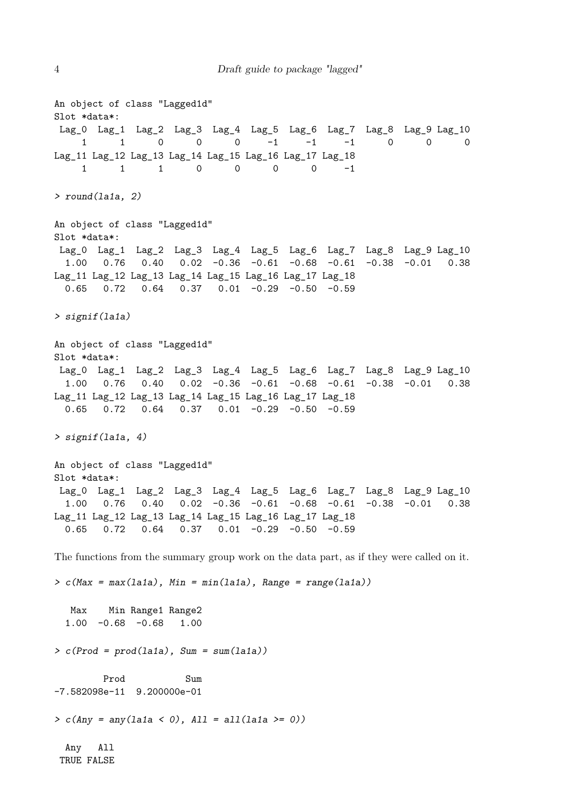An object of class "Lagged1d" Slot \*data\*: Lag\_0 Lag\_1 Lag\_2 Lag\_3 Lag\_4 Lag\_5 Lag\_6 Lag\_7 Lag\_8 Lag\_9 Lag\_10 1 1 0 0 0 -1 -1 -1 0 0 0 Lag\_11 Lag\_12 Lag\_13 Lag\_14 Lag\_15 Lag\_16 Lag\_17 Lag\_18 1 1 1 0 0 0 0 -1 > round(la1a, 2) An object of class "Lagged1d" Slot \*data\*: Lag\_0 Lag\_1 Lag\_2 Lag\_3 Lag\_4 Lag\_5 Lag\_6 Lag\_7 Lag\_8 Lag\_9 Lag\_10 1.00 0.76 0.40 0.02 -0.36 -0.61 -0.68 -0.61 -0.38 -0.01 0.38 Lag\_11 Lag\_12 Lag\_13 Lag\_14 Lag\_15 Lag\_16 Lag\_17 Lag\_18 0.65 0.72 0.64 0.37 0.01 -0.29 -0.50 -0.59 > signif(la1a) An object of class "Lagged1d" Slot \*data\*: Lag\_0 Lag\_1 Lag\_2 Lag\_3 Lag\_4 Lag\_5 Lag\_6 Lag\_7 Lag\_8 Lag\_9 Lag\_10 1.00 0.76 0.40 0.02 -0.36 -0.61 -0.68 -0.61 -0.38 -0.01 0.38 Lag\_11 Lag\_12 Lag\_13 Lag\_14 Lag\_15 Lag\_16 Lag\_17 Lag\_18 0.65 0.72 0.64 0.37 0.01 -0.29 -0.50 -0.59 > signif(la1a, 4) An object of class "Lagged1d" Slot \*data\*: Lag\_0 Lag\_1 Lag\_2 Lag\_3 Lag\_4 Lag\_5 Lag\_6 Lag\_7 Lag\_8 Lag\_9 Lag\_10 1.00 0.76 0.40 0.02 -0.36 -0.61 -0.68 -0.61 -0.38 -0.01 0.38 Lag\_11 Lag\_12 Lag\_13 Lag\_14 Lag\_15 Lag\_16 Lag\_17 Lag\_18 0.65 0.72 0.64 0.37 0.01 -0.29 -0.50 -0.59 The functions from the summary group work on the data part, as if they were called on it.  $> c$ (Max = max(la1a), Min = min(la1a), Range = range(la1a)) Max Min Range1 Range2 1.00 -0.68 -0.68 1.00  $> c(Prod = prod(lala), Sum = sum(lala))$ Prod Sum -7.582098e-11 9.200000e-01  $> c(Any = any(lala < 0), All = all(lala >= 0))$ Any All TRUE FALSE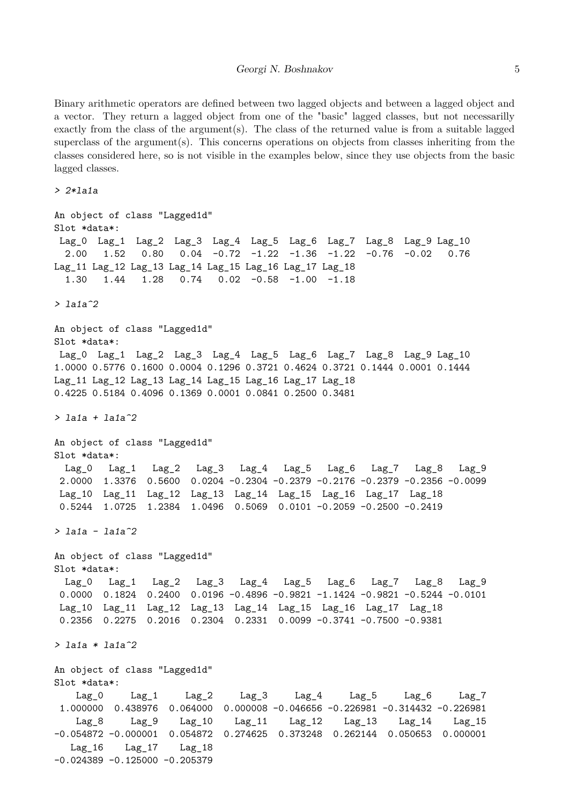Binary arithmetic operators are defined between two lagged objects and between a lagged object and a vector. They return a lagged object from one of the "basic" lagged classes, but not necessarilly exactly from the class of the argument(s). The class of the returned value is from a suitable lagged superclass of the argument(s). This concerns operations on objects from classes inheriting from the classes considered here, so is not visible in the examples below, since they use objects from the basic lagged classes.

> 2\*la1a An object of class "Lagged1d" Slot \*data\*: Lag\_0 Lag\_1 Lag\_2 Lag\_3 Lag\_4 Lag\_5 Lag\_6 Lag\_7 Lag\_8 Lag\_9 Lag\_10 2.00 1.52 0.80 0.04 -0.72 -1.22 -1.36 -1.22 -0.76 -0.02 0.76 Lag\_11 Lag\_12 Lag\_13 Lag\_14 Lag\_15 Lag\_16 Lag\_17 Lag\_18 1.30 1.44 1.28 0.74 0.02 -0.58 -1.00 -1.18  $> 1a1a^2$ An object of class "Lagged1d" Slot \*data\*: Lag\_0 Lag\_1 Lag\_2 Lag\_3 Lag\_4 Lag\_5 Lag\_6 Lag\_7 Lag\_8 Lag\_9 Lag\_10 1.0000 0.5776 0.1600 0.0004 0.1296 0.3721 0.4624 0.3721 0.1444 0.0001 0.1444 Lag\_11 Lag\_12 Lag\_13 Lag\_14 Lag\_15 Lag\_16 Lag\_17 Lag\_18 0.4225 0.5184 0.4096 0.1369 0.0001 0.0841 0.2500 0.3481 > la1a + la1a^2 An object of class "Lagged1d" Slot \*data\*: Lag\_0 Lag\_1 Lag\_2 Lag\_3 Lag\_4 Lag\_5 Lag\_6 Lag\_7 Lag\_8 Lag\_9 2.0000 1.3376 0.5600 0.0204 -0.2304 -0.2379 -0.2176 -0.2379 -0.2356 -0.0099 Lag\_10 Lag\_11 Lag\_12 Lag\_13 Lag\_14 Lag\_15 Lag\_16 Lag\_17 Lag\_18 0.5244 1.0725 1.2384 1.0496 0.5069 0.0101 -0.2059 -0.2500 -0.2419 > la1a - la1a^2 An object of class "Lagged1d" Slot \*data\*: Lag\_0 Lag\_1 Lag\_2 Lag\_3 Lag\_4 Lag\_5 Lag\_6 Lag\_7 Lag\_8 Lag\_9 0.0000 0.1824 0.2400 0.0196 -0.4896 -0.9821 -1.1424 -0.9821 -0.5244 -0.0101 Lag\_10 Lag\_11 Lag\_12 Lag\_13 Lag\_14 Lag\_15 Lag\_16 Lag\_17 Lag\_18 0.2356 0.2275 0.2016 0.2304 0.2331 0.0099 -0.3741 -0.7500 -0.9381

> la1a \* la1a^2

An object of class "Lagged1d"

Slot \*data\*: Lag\_0 Lag\_1 Lag\_2 Lag\_3 Lag\_4 Lag\_5 Lag\_6 Lag\_7 1.000000 0.438976 0.064000 0.000008 -0.046656 -0.226981 -0.314432 -0.226981 Lag\_8 Lag\_9 Lag\_10 Lag\_11 Lag\_12 Lag\_13 Lag\_14 Lag\_15 -0.054872 -0.000001 0.054872 0.274625 0.373248 0.262144 0.050653 0.000001 Lag\_16 Lag\_17 Lag\_18  $-0.024389 -0.125000 -0.205379$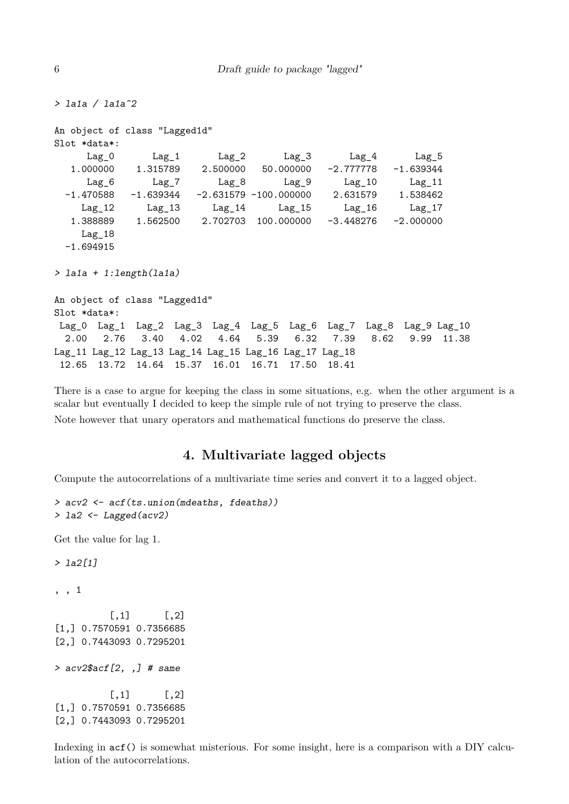```
> la1a / la1a^2
An object of class "Lagged1d"
Slot *data*:
     Lag_0 Lag_1 Lag_2 Lag_3 Lag_4 Lag_5
  1.000000 1.315789 2.500000 50.000000 -2.777778 -1.639344
     Lag_6 Lag_7 Lag_8 Lag_9 Lag_10 Lag_11
 -1.470588 -1.639344 -2.631579 -100.000000 2.631579 1.538462
    Lag_12 Lag_13 Lag_14 Lag_15 Lag_16 Lag_17
  1.388889 1.562500 2.702703 100.000000 -3.448276 -2.000000
    Lag_18
 -1.694915
> la1a + 1:length(la1a)
An object of class "Lagged1d"
Slot *data*:
Lag_0 Lag_1 Lag_2 Lag_3 Lag_4 Lag_5 Lag_6 Lag_7 Lag_8 Lag_9 Lag_10
 2.00 2.76 3.40 4.02 4.64 5.39 6.32 7.39 8.62 9.99 11.38
Lag_11 Lag_12 Lag_13 Lag_14 Lag_15 Lag_16 Lag_17 Lag_18
12.65 13.72 14.64 15.37 16.01 16.71 17.50 18.41
```
There is a case to argue for keeping the class in some situations, e.g. when the other argument is a scalar but eventually I decided to keep the simple rule of not trying to preserve the class. Note however that unary operators and mathematical functions do preserve the class.

#### **4. Multivariate lagged objects**

Compute the autocorrelations of a multivariate time series and convert it to a lagged object.

```
> acv2 <- acf(ts.union(mdeaths, fdeaths))
> la2 <- Lagged(acv2)
Get the value for lag 1.
> 1a2[1], , 1
          [,1] [,2][1,] 0.7570591 0.7356685
[2,] 0.7443093 0.7295201
> acv2$acf[2, ,] # same
          [,1] [,2][1,] 0.7570591 0.7356685
[2,] 0.7443093 0.7295201
```
Indexing in acf() is somewhat misterious. For some insight, here is a comparison with a DIY calculation of the autocorrelations.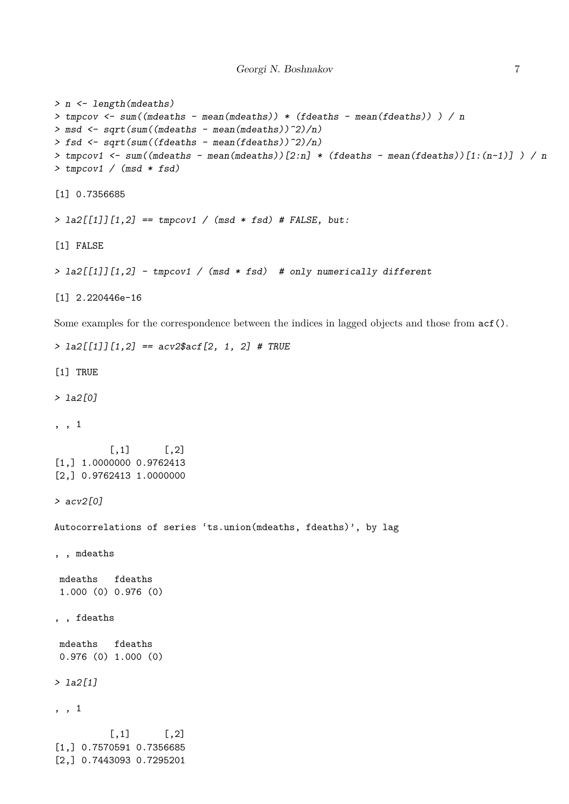```
> n <- length(mdeaths)
> tmpcov <- sum((mdeaths - mean(mdeaths)) * (fdeaths - mean(fdeaths)) ) / n
> msd <- sqrt(sum((mdeaths - mean(mdeaths))^2)/n)
> fsd <- sqrt(sum((fdeaths - mean(fdeaths))^2)/n)
> tmpcov1 <- sum((mdeaths - mean(mdeaths))[2:n] * (fdeaths - mean(fdeaths))[1:(n-1)] ) / n
> tmpcov1 / (msd * fsd)
[1] 0.7356685
> 1a2[[1]][1,2] == <i>tmpcov1</i> / (msd * fsd) # <i>FALSE</i>, but:[1] FALSE
> la2[[1]][1,2] - tmpcov1 / (msd * fsd) # only numerically different
[1] 2.220446e-16
Some examples for the correspondence between the indices in lagged objects and those from acf().
> la2[[1]][1,2] == acv2$acf[2, 1, 2] # TRUE
[1] TRUE
> la2[0]
, , 1
          [0,1] [0,2][1,] 1.0000000 0.9762413
[2,] 0.9762413 1.0000000
> acv2[0]
Autocorrelations of series 'ts.union(mdeaths, fdeaths)', by lag
, , mdeaths
mdeaths fdeaths
 1.000 (0) 0.976 (0)
, , fdeaths
mdeaths fdeaths
0.976 (0) 1.000 (0)
> la2[1]
, , 1
          [,1] [,2][1,] 0.7570591 0.7356685
[2,] 0.7443093 0.7295201
```